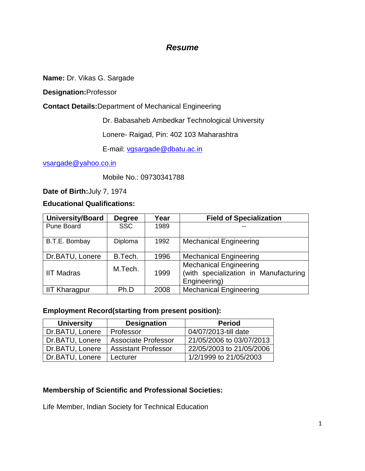# *Resume*

**Name:** Dr. Vikas G. Sargade

**Designation:**Professor

**Contact Details:**Department of Mechanical Engineering

Dr. Babasaheb Ambedkar Technological University

Lonere- Raigad, Pin: 402 103 Maharashtra

E-mail: [vgsargade@dbatu.ac.in](mailto:vgsargade@dbatu.ac.in)

[vsargade@yahoo.co.in](mailto:vsargade@yahoo.co.in)

Mobile No.: 09730341788

**Date of Birth:**July 7, 1974

**Educational Qualifications:**

| <b>University/Board</b> | <b>Degree</b> | Year | <b>Field of Specialization</b>                                                         |
|-------------------------|---------------|------|----------------------------------------------------------------------------------------|
| Pune Board              | <b>SSC</b>    | 1989 |                                                                                        |
| B.T.E. Bombay           | Diploma       | 1992 | <b>Mechanical Engineering</b>                                                          |
| Dr.BATU, Lonere         | B.Tech.       | 1996 | <b>Mechanical Engineering</b>                                                          |
| <b>IIT Madras</b>       | M.Tech.       | 1999 | <b>Mechanical Engineering</b><br>(with specialization in Manufacturing<br>Engineering) |
| <b>IIT Kharagpur</b>    | Ph.D          | 2008 | <b>Mechanical Engineering</b>                                                          |

#### **Employment Record(starting from present position):**

| <b>University</b> | <b>Designation</b>         | <b>Period</b>            |
|-------------------|----------------------------|--------------------------|
| Dr.BATU, Lonere   | Professor                  | 04/07/2013-till date     |
| Dr.BATU, Lonere   | <b>Associate Professor</b> | 21/05/2006 to 03/07/2013 |
| Dr.BATU, Lonere   | <b>Assistant Professor</b> | 22/05/2003 to 21/05/2006 |
| Dr.BATU, Lonere   | Lecturer                   | 1/2/1999 to 21/05/2003   |

# **Membership of Scientific and Professional Societies:**

Life Member, Indian Society for Technical Education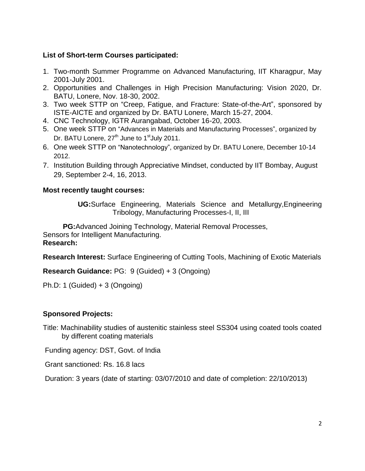## **List of Short-term Courses participated:**

- 1. Two-month Summer Programme on Advanced Manufacturing, IIT Kharagpur, May 2001-July 2001.
- 2. Opportunities and Challenges in High Precision Manufacturing: Vision 2020, Dr. BATU, Lonere, Nov. 18-30, 2002.
- 3. Two week STTP on "Creep, Fatigue, and Fracture: State-of-the-Art", sponsored by ISTE-AICTE and organized by Dr. BATU Lonere, March 15-27, 2004.
- 4. CNC Technology, IGTR Aurangabad, October 16-20, 2003.
- 5. One week STTP on "Advances in Materials and Manufacturing Processes", organized by Dr. BATU Lonere, 27<sup>th</sup> June to 1<sup>st</sup> July 2011.
- 6. One week STTP on "Nanotechnology", organized by Dr. BATU Lonere, December 10-14 2012.
- 7. Institution Building through Appreciative Mindset, conducted by IIT Bombay, August 29, September 2-4, 16, 2013.

#### **Most recently taught courses:**

**UG:**Surface Engineering, Materials Science and Metallurgy,Engineering Tribology, Manufacturing Processes-I, II, III

 **PG:**Advanced Joining Technology, Material Removal Processes, Sensors for Intelligent Manufacturing. **Research:**

**Research Interest:** Surface Engineering of Cutting Tools, Machining of Exotic Materials

**Research Guidance:** PG: 9 (Guided) + 3 (Ongoing)

Ph.D: 1 (Guided) + 3 (Ongoing)

#### **Sponsored Projects:**

Title: Machinability studies of austenitic stainless steel SS304 using coated tools coated by different coating materials

Funding agency: DST, Govt. of India

Grant sanctioned: Rs. 16.8 lacs

Duration: 3 years (date of starting: 03/07/2010 and date of completion: 22/10/2013)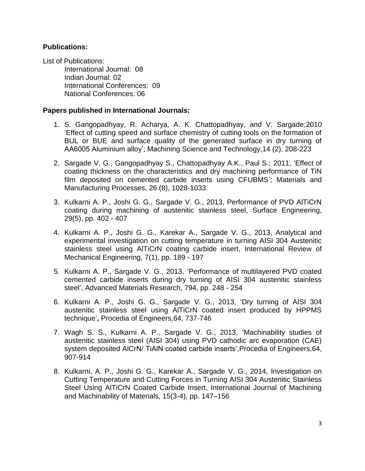#### **Publications:**

List of Publications: International Journal: 08 Indian Journal: 02 International Conferences: 09 National Conferences: 06

#### **Papers published in International Journals:**

- 1. S. Gangopadhyay, R. Acharya, A. K. Chattopadhyay, and V. Sargade;2010 "Effect of cutting speed and surface chemistry of cutting tools on the formation of BUL or BUE and surface quality of the generated surface in dry turning of AA6005 Aluminium alloy"; Machining Science and Technology,14 (2), 208-223
- 2. Sargade V. G., Gangopadhyay S., Chattopadhyay A.K., Paul S.; 2011, "Effect of coating thickness on the characteristics and dry machining performance of TiN film deposited on cemented carbide inserts using CFUBMS"; Materials and Manufacturing Processes, 26 (8), 1028-1033.
- 3. Kulkarni A. P., Joshi G. G., Sargade V. G., 2013, Performance of PVD AlTiCrN coating during machining of austenitic stainless steel, Surface Engineering, 29(5), pp. 402 - 407
- 4. Kulkarni A. P., Joshi G. G., Karekar A., Sargade V. G., 2013, Analytical and experimental investigation on cutting temperature in turning AISI 304 Austenitic stainless steel using AlTiCrN coating carbide insert, International Review of Mechanical Engineering, 7(1), pp. 189 - 197
- 5. Kulkarni A. P., Sargade V. G., 2013, "Performance of multilayered PVD coated cemented carbide inserts during dry turning of AISI 304 austenitic stainless steel", Advanced Materials Research, 794, pp. 248 - 254
- 6. Kulkarni A. P., Joshi G. G., Sargade V. G., 2013, "Dry turning of AISI 304 austenitic stainless steel using AlTiCrN coated insert produced by HPPMS technique"**,** Procedia of Engineers,64, 737-746
- 7. Wagh S. S., Kulkarni A. P., Sargade V. G., 2013, "Machinability studies of austenitic stainless steel (AISI 304) using PVD cathodic arc evaporation (CAE) system deposited AICrN/ TiAIN coated carbide inserts', Procedia of Engineers, 64, 907-914
- 8. Kulkarni, A. P., Joshi G. G., Karekar A., Sargade V. G., 2014, Investigation on Cutting Temperature and Cutting Forces in Turning AISI 304 Austenitic Stainless Steel Using AlTiCrN Coated Carbide Insert, International Journal of Machining and Machinability of Materials, 15(3-4), pp. 147–156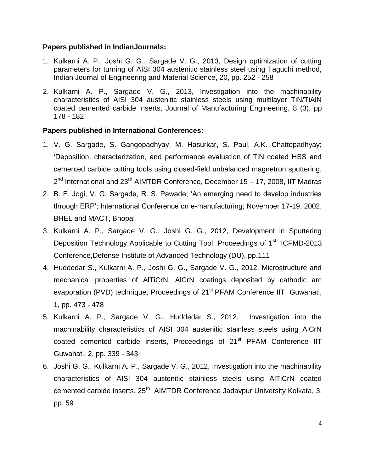#### **Papers published in IndianJournals:**

- 1. Kulkarni A. P., Joshi G. G., Sargade V. G., 2013, Design optimization of cutting parameters for turning of AISI 304 austenitic stainless steel using Taguchi method, Indian Journal of Engineering and Material Science, 20, pp. 252 - 258
- 2. Kulkarni A. P., Sargade V. G., 2013, Investigation into the machinability characteristics of AISI 304 austenitic stainless steels using multilayer TiN/TiAlN coated cemented carbide inserts, Journal of Manufacturing Engineering, 8 (3), pp 178 - 182

# **Papers published in International Conferences:**

- 1. V. G. Sargade, S. Gangopadhyay, M. Hasurkar, S. Paul, A.K. Chattopadhyay; "Deposition, characterization, and performance evaluation of TiN coated HSS and cemented carbide cutting tools using closed-field unbalanced magnetron sputtering, 2<sup>nd</sup> International and 23<sup>rd</sup> AIMTDR Conference, December 15 – 17, 2008, IIT Madras
- 2. B. F. Jogi, V. G. Sargade, R. S. Pawade; "An emerging need to develop industries through ERP"; International Conference on e-manufacturing; November 17-19, 2002, BHEL and MACT, Bhopal
- 3. Kulkarni A. P., Sargade V. G., Joshi G. G., 2012, Development in Sputtering Deposition Technology Applicable to Cutting Tool, Proceedings of 1<sup>st</sup> ICFMD-2013 Conference,Defense Institute of Advanced Technology (DU), pp.111
- 4. Huddedar S., Kulkarni A. P., Joshi G. G., Sargade V. G., 2012, Microstructure and mechanical properties of AlTiCrN, AlCrN coatings deposited by cathodic arc evaporation (PVD) technique, Proceedings of 21<sup>st</sup> PFAM Conference IIT Guwahati, 1, pp. 473 - 478
- 5. Kulkarni A. P., Sargade V. G., Huddedar S., 2012, Investigation into the machinability characteristics of AISI 304 austenitic stainless steels using AlCrN coated cemented carbide inserts, Proceedings of 21<sup>st</sup> PFAM Conference IIT Guwahati, 2, pp. 339 - 343
- 6. Joshi G. G., Kulkarni A. P., Sargade V. G., 2012, Investigation into the machinability characteristics of AISI 304 austenitic stainless steels using AlTiCrN coated cemented carbide inserts, 25<sup>th</sup> AIMTDR Conference Jadavpur University Kolkata, 3, pp. 59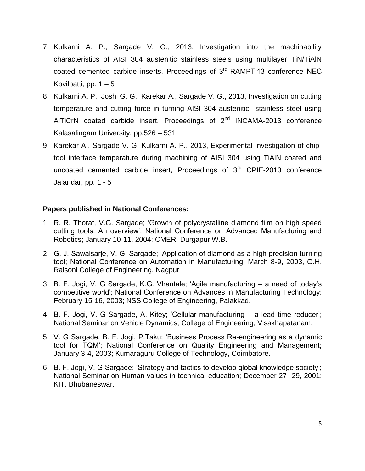- 7. Kulkarni A. P., Sargade V. G., 2013, Investigation into the machinability characteristics of AISI 304 austenitic stainless steels using multilayer TiN/TiAlN coated cemented carbide inserts, Proceedings of 3<sup>rd</sup> RAMPT'13 conference NEC Kovilpatti, pp.  $1 - 5$
- 8. Kulkarni A. P., Joshi G. G., Karekar A., Sargade V. G., 2013, Investigation on cutting temperature and cutting force in turning AISI 304 austenitic stainless steel using AlTiCrN coated carbide insert, Proceedings of  $2<sup>nd</sup>$  INCAMA-2013 conference Kalasalingam University, pp.526 – 531
- 9. Karekar A., Sargade V. G, Kulkarni A. P., 2013, Experimental Investigation of chiptool interface temperature during machining of AISI 304 using TiAlN coated and uncoated cemented carbide insert, Proceedings of 3<sup>rd</sup> CPIE-2013 conference Jalandar, pp. 1 - 5

### **Papers published in National Conferences:**

- 1. R. R. Thorat, V.G. Sargade; "Growth of polycrystalline diamond film on high speed cutting tools: An overview"; National Conference on Advanced Manufacturing and Robotics; January 10-11, 2004; CMERI Durgapur,W.B.
- 2. G. J. Sawaisarje, V. G. Sargade; "Application of diamond as a high precision turning tool; National Conference on Automation in Manufacturing; March 8-9, 2003, G.H. Raisoni College of Engineering, Nagpur
- 3. B. F. Jogi, V. G Sargade, K.G. Vhantale; "Agile manufacturing a need of today"s competitive world"; National Conference on Advances in Manufacturing Technology; February 15-16, 2003; NSS College of Engineering, Palakkad.
- 4. B. F. Jogi, V. G Sargade, A. Kitey; "Cellular manufacturing a lead time reducer"; National Seminar on Vehicle Dynamics; College of Engineering, Visakhapatanam.
- 5. V. G Sargade, B. F. Jogi, P.Taku; "Business Process Re-engineering as a dynamic tool for TQM"; National Conference on Quality Engineering and Management; January 3-4, 2003; Kumaraguru College of Technology, Coimbatore.
- 6. B. F. Jogi, V. G Sargade; "Strategy and tactics to develop global knowledge society"; National Seminar on Human values in technical education; December 27--29, 2001; KIT, Bhubaneswar.